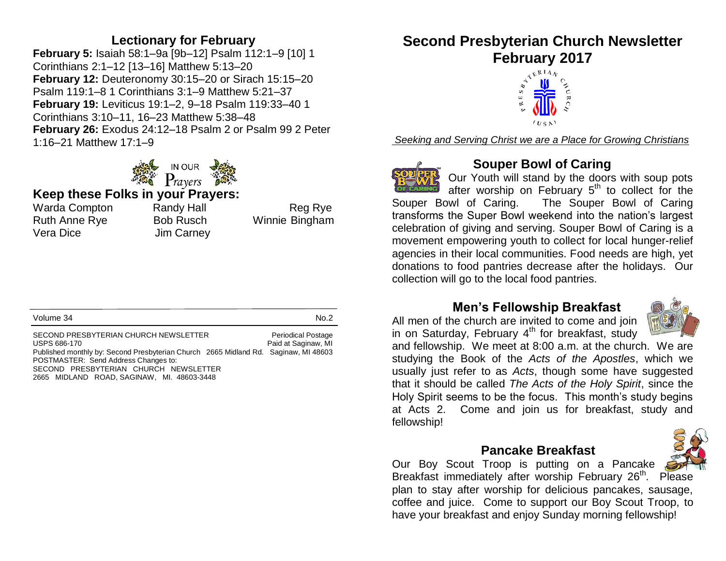### **Lectionary for February**

**February 5:** Isaiah 58:1–9a [9b–12] Psalm 112:1–9 [10] 1 Corinthians 2:1–12 [13–16] Matthew 5:13–20 **February 12:** Deuteronomy 30:15–20 or Sirach 15:15–20 Psalm 119:1–8 1 Corinthians 3:1–9 Matthew 5:21–37 **February 19:** Leviticus 19:1–2, 9–18 Psalm 119:33–40 1 Corinthians 3:10–11, 16–23 Matthew 5:38–48 **February 26:** Exodus 24:12–18 Psalm 2 or Psalm 99 2 Peter 1:16–21 Matthew 17:1–9



#### **Keep these Folks in your Prayers:**

Warda Compton Randy Hall Reg Rye Ruth Anne Rye Bob Rusch Winnie Bingham Vera Dice Jim Carney

| Volume 34<br>No.2                                                                                                                                                                                                                                                                                                               |
|---------------------------------------------------------------------------------------------------------------------------------------------------------------------------------------------------------------------------------------------------------------------------------------------------------------------------------|
| SECOND PRESBYTERIAN CHURCH NEWSLETTER<br><b>Periodical Postage</b><br>Paid at Saginaw, MI<br>USPS 686-170<br>Published monthly by: Second Presbyterian Church 2665 Midland Rd. Saginaw, MI 48603<br>POSTMASTER: Send Address Changes to:<br>SECOND PRESBYTERIAN CHURCH NEWSLETTER<br>2665 MIDLAND ROAD, SAGINAW, MI. 48603-3448 |

**Second Presbyterian Church Newsletter February 2017**



*Seeking and Serving Christ we are a Place for Growing Christians*



### **Souper Bowl of Caring**

Our Youth will stand by the doors with soup pots after worship on February 5<sup>th</sup> to collect for the Souper Bowl of Caring. The Souper Bowl of Caring transforms the Super Bowl weekend into the nation's largest celebration of giving and serving. Souper Bowl of Caring is a movement empowering youth to collect for local hunger-relief agencies in their local communities. Food needs are high, yet donations to food pantries decrease after the holidays. Our collection will go to the local food pantries.

### **Men's Fellowship Breakfast**

All men of the church are invited to come and join in on Saturday, February  $4<sup>th</sup>$  for breakfast, study



and fellowship. We meet at 8:00 a.m. at the church. We are studying the Book of the *Acts of the Apostles*, which we usually just refer to as *Acts*, though some have suggested that it should be called *The Acts of the Holy Spirit*, since the Holy Spirit seems to be the focus. This month's study begins at Acts 2. Come and join us for breakfast, study and fellowship!

#### **Pancake Breakfast**

Our Boy Scout Troop is putting on a Pancake Breakfast immediately after worship February 26<sup>th</sup>. Please plan to stay after worship for delicious pancakes, sausage, coffee and juice. Come to support our Boy Scout Troop, to have your breakfast and enjoy Sunday morning fellowship!

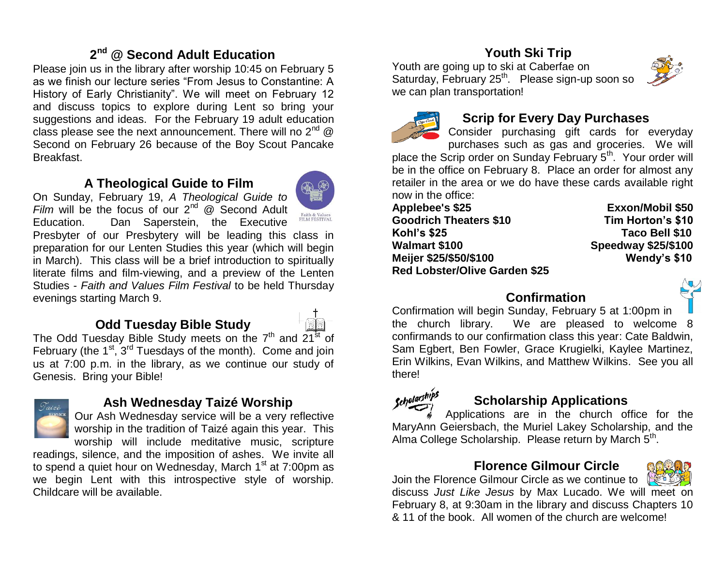# **2 nd @ Second Adult Education**

Please join us in the library after worship 10:45 on February 5 as we finish our lecture series "From Jesus to Constantine: A History of Early Christianity". We will meet on February 12 and discuss topics to explore during Lent so bring your suggestions and ideas. For the February 19 adult education class please see the next announcement. There will no  $2^{nd}$  @ Second on February 26 because of the Boy Scout Pancake Breakfast.

### **A Theological Guide to Film**

On Sunday, February 19, *A Theological Guide to Film* will be the focus of our 2<sup>nd</sup> @ Second Adult



Education. Dan Saperstein, the Executive Presbyter of our Presbytery will be leading this class in preparation for our Lenten Studies this year (which will begin in March). This class will be a brief introduction to spiritually literate films and film-viewing, and a preview of the Lenten Studies - *Faith and Values Film Festival* to be held Thursday evenings starting March 9.

# **Odd Tuesday Bible Study**



The Odd Tuesday Bible Study meets on the  $7<sup>th</sup>$  and  $21<sup>st</sup>$  of February (the  $1^{st}$ ,  $3^{rd}$  Tuesdays of the month). Come and join us at 7:00 p.m. in the library, as we continue our study of Genesis. Bring your Bible!



### **Ash Wednesday Taizé Worship**

Our Ash Wednesday service will be a very reflective worship in the tradition of Taizé again this year. This worship will include meditative music, scripture

readings, silence, and the imposition of ashes. We invite all to spend a quiet hour on Wednesday, March 1<sup>st</sup> at 7:00pm as we begin Lent with this introspective style of worship. Childcare will be available.

# **Youth Ski Trip**

Youth are going up to ski at Caberfae on Saturday, February 25<sup>th</sup>. Please sign-up soon so we can plan transportation!





# **Scrip for Every Day Purchases**

Consider purchasing gift cards for everyday purchases such as gas and groceries. We will place the Scrip order on Sunday February  $5<sup>th</sup>$ . Your order will be in the office on February 8. Place an order for almost any retailer in the area or we do have these cards available right now in the office:

**Applebee's \$25 Exxon/Mobil \$50 Goodrich Theaters \$10 Tim Horton's \$10 Kohl's \$25 Taco Bell \$10 Walmart \$100 Speedway \$25/\$100 Meijer \$25/\$50/\$100 Wendy's \$10 Red Lobster/Olive Garden \$25**

#### **Confirmation**



Confirmation will begin Sunday, February 5 at 1:00pm in the church library. We are pleased to welcome 8 confirmands to our confirmation class this year: Cate Baldwin, Sam Egbert, Ben Fowler, Grace Krugielki, Kaylee Martinez, Erin Wilkins, Evan Wilkins, and Matthew Wilkins. See you all there!



### **Scholarship Applications**

Applications are in the church office for the MaryAnn Geiersbach, the Muriel Lakey Scholarship, and the Alma College Scholarship. Please return by March 5<sup>th</sup>.

#### **Florence Gilmour Circle**

Join the Florence Gilmour Circle as we continue to

discuss *Just Like Jesus* by Max Lucado. We will meet on February 8, at 9:30am in the library and discuss Chapters 10 & 11 of the book. All women of the church are welcome!

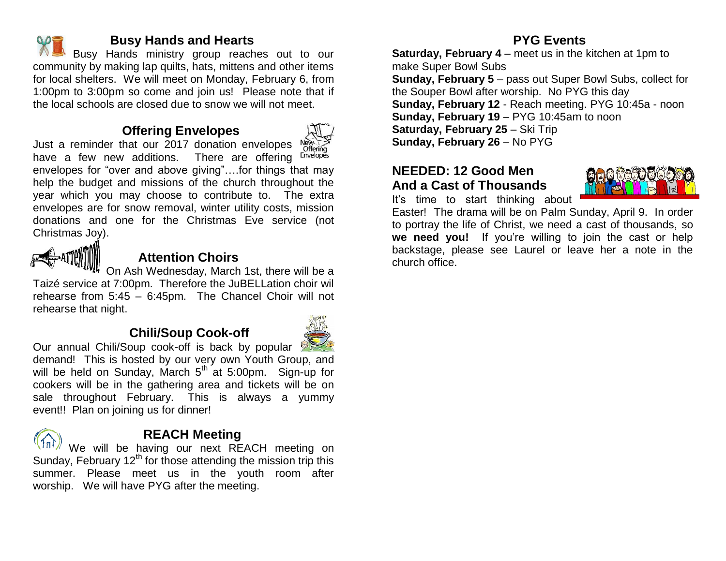

#### **Busy Hands and Hearts**

Busy Hands ministry group reaches out to our community by making lap quilts, hats, mittens and other items for local shelters. We will meet on Monday, February 6, from 1:00pm to 3:00pm so come and join us! Please note that if the local schools are closed due to snow we will not meet.

### **Offering Envelopes**



Just a reminder that our 2017 donation envelopes New Stering<br>have a few new additions. There are offering Envelopes have a few new additions. envelopes for "over and above giving"….for things that may help the budget and missions of the church throughout the year which you may choose to contribute to. The extra envelopes are for snow removal, winter utility costs, mission donations and one for the Christmas Eve service (not Christmas Joy).



### **Attention Choirs**

On Ash Wednesday, March 1st, there will be a Taizé service at 7:00pm. Therefore the JuBELLation choir wil rehearse from 5:45 – 6:45pm. The Chancel Choir will not rehearse that night.

### **Chili/Soup Cook-off**



Our annual Chili/Soup cook-off is back by popular demand! This is hosted by our very own Youth Group, and will be held on Sunday, March  $5<sup>th</sup>$  at 5:00pm. Sign-up for cookers will be in the gathering area and tickets will be on sale throughout February. This is always a yummy event!! Plan on joining us for dinner!



### **REACH Meeting**

We will be having our next REACH meeting on Sunday, February  $12<sup>th</sup>$  for those attending the mission trip this summer. Please meet us in the youth room after worship. We will have PYG after the meeting.

### **PYG Events**

**Saturday, February 4** – meet us in the kitchen at 1pm to make Super Bowl Subs **Sunday, February 5** – pass out Super Bowl Subs, collect for the Souper Bowl after worship. No PYG this day **Sunday, February 12** - Reach meeting. PYG 10:45a - noon **Sunday, February 19** – PYG 10:45am to noon **Saturday, February 25** – Ski Trip **Sunday, February 26** – No PYG

#### **NEEDED: 12 Good Men And a Cast of Thousands**

It's time to start thinking about



Easter! The drama will be on Palm Sunday, April 9. In order to portray the life of Christ, we need a cast of thousands, so **we need you!** If you're willing to join the cast or help backstage, please see Laurel or leave her a note in the church office.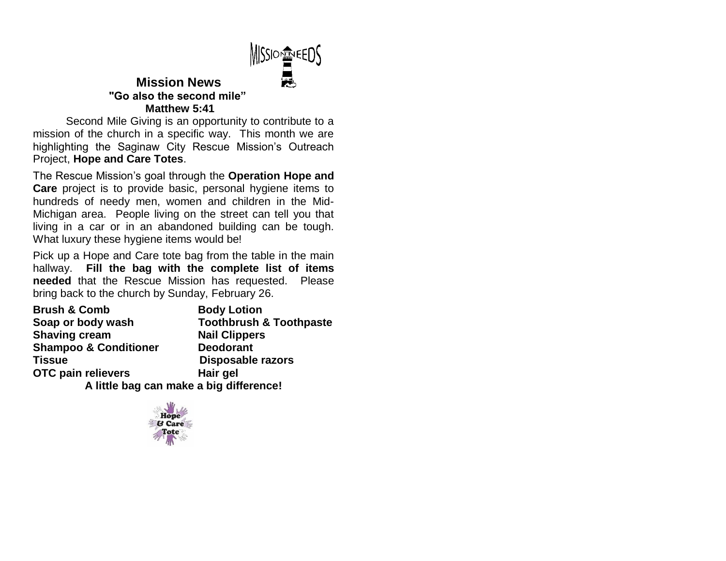

#### **Mission News "Go also the second mile" Matthew 5:41**

Second Mile Giving is an opportunity to contribute to a mission of the church in a specific way. This month we are highlighting the Saginaw City Rescue Mission's Outreach Project, **Hope and Care Totes**.

The Rescue Mission's goal through the **Operation Hope and Care** project is to provide basic, personal hygiene items to hundreds of needy men, women and children in the Mid-Michigan area. People living on the street can tell you that living in a car or in an abandoned building can be tough. What luxury these hygiene items would be!

Pick up a Hope and Care tote bag from the table in the main hallway. **Fill the bag with the complete list of items needed** that the Rescue Mission has requested. Please bring back to the church by Sunday, February 26.

| <b>Brush &amp; Comb</b>                 | <b>Body Lotion</b>                 |  |  |  |
|-----------------------------------------|------------------------------------|--|--|--|
| Soap or body wash                       | <b>Toothbrush &amp; Toothpaste</b> |  |  |  |
| <b>Shaving cream</b>                    | <b>Nail Clippers</b>               |  |  |  |
| <b>Shampoo &amp; Conditioner</b>        | <b>Deodorant</b>                   |  |  |  |
| Tissue                                  | <b>Disposable razors</b>           |  |  |  |
| OTC pain relievers                      | Hair gel                           |  |  |  |
| A little bag can make a big difference! |                                    |  |  |  |